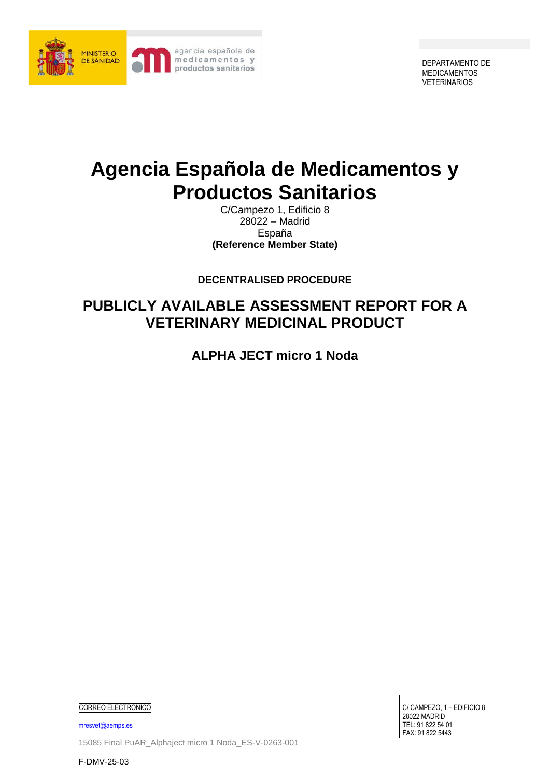

DEPARTAMENTO DE MEDICAMENTOS VETERINARIOS

# **Agencia Española de Medicamentos y Productos Sanitarios**

C/Campezo 1, Edificio 8 28022 – Madrid España **(Reference Member State)**

**DECENTRALISED PROCEDURE**

## **PUBLICLY AVAILABLE ASSESSMENT REPORT FOR A VETERINARY MEDICINAL PRODUCT**

**ALPHA JECT micro 1 Noda**

CORREO ELECTRÓNICO

[mresvet@aemps.es](mailto:mresvet@aemps.es) 15085 Final PuAR\_Alphaject micro 1 Noda\_ES-V-0263-001

F-DMV-25-03

C/ CAMPEZO, 1 – EDIFICIO 8 28022 MADRID TEL: 91 822 54 01 FAX: 91 822 5443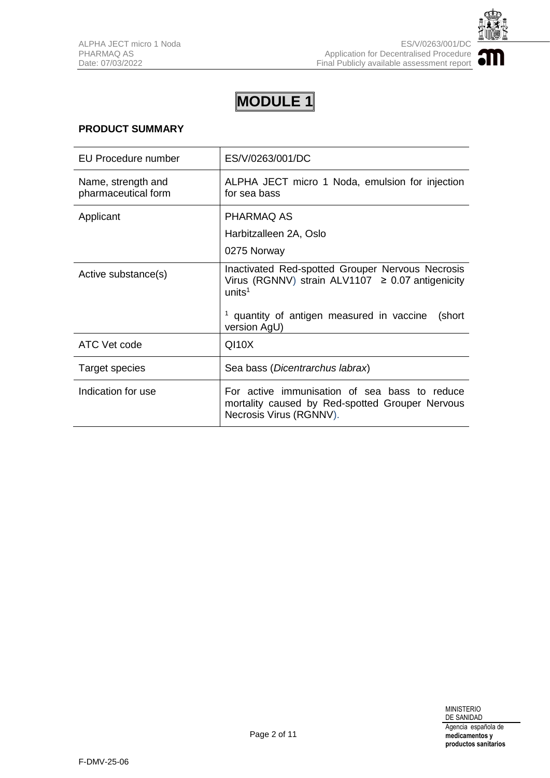

## **PRODUCT SUMMARY**

| EU Procedure number                       | ES/V/0263/001/DC                                                                                                                |
|-------------------------------------------|---------------------------------------------------------------------------------------------------------------------------------|
| Name, strength and<br>pharmaceutical form | ALPHA JECT micro 1 Noda, emulsion for injection<br>for sea bass                                                                 |
| Applicant                                 | PHARMAQ AS                                                                                                                      |
|                                           | Harbitzalleen 2A, Oslo                                                                                                          |
|                                           | 0275 Norway                                                                                                                     |
| Active substance(s)                       | Inactivated Red-spotted Grouper Nervous Necrosis<br>Virus (RGNNV) strain ALV1107 $\geq$ 0.07 antigenicity<br>units <sup>1</sup> |
|                                           | <sup>1</sup> quantity of antigen measured in vaccine<br>(short<br>version AgU)                                                  |
| ATC Vet code                              | $Q$ 110 $X$                                                                                                                     |
| <b>Target species</b>                     | Sea bass (Dicentrarchus labrax)                                                                                                 |
| Indication for use                        | For active immunisation of sea bass to reduce<br>mortality caused by Red-spotted Grouper Nervous<br>Necrosis Virus (RGNNV).     |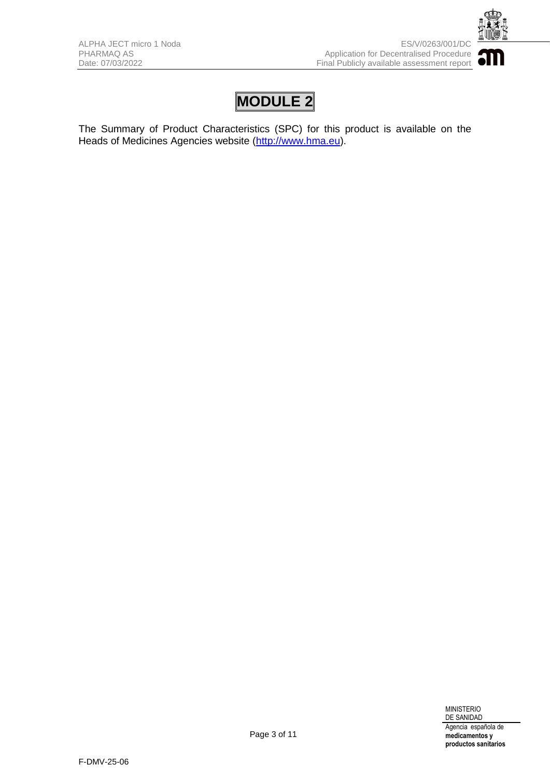

The Summary of Product Characteristics (SPC) for this product is available on the Heads of Medicines Agencies website [\(http://www.hma.eu\)](http://www.hma.eu/).

> MINISTERIO DE SANIDAD Agencia española de **medicamentos y productos sanitarios**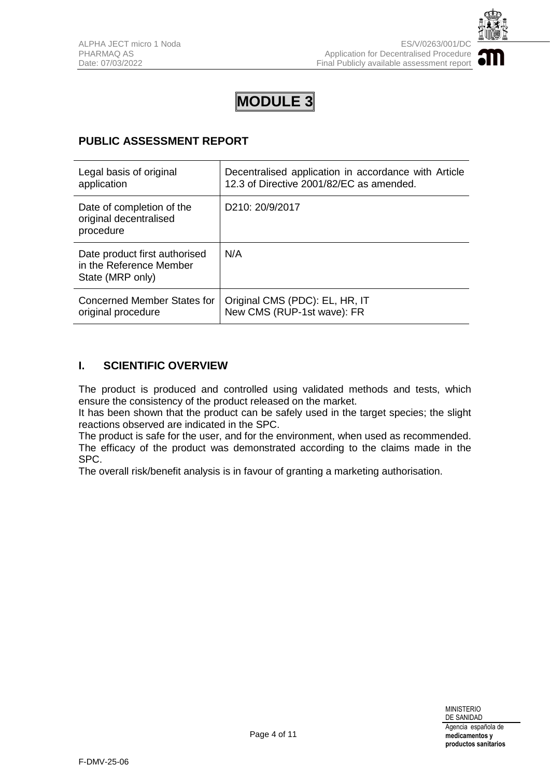

## **PUBLIC ASSESSMENT REPORT**

| Legal basis of original                                                      | Decentralised application in accordance with Article |
|------------------------------------------------------------------------------|------------------------------------------------------|
| application                                                                  | 12.3 of Directive 2001/82/EC as amended.             |
| Date of completion of the<br>original decentralised<br>procedure             | D <sub>210</sub> : 20/9/2017                         |
| Date product first authorised<br>in the Reference Member<br>State (MRP only) | N/A                                                  |
| Concerned Member States for                                                  | Original CMS (PDC): EL, HR, IT                       |
| original procedure                                                           | New CMS (RUP-1st wave): FR                           |

## **I. SCIENTIFIC OVERVIEW**

The product is produced and controlled using validated methods and tests, which ensure the consistency of the product released on the market.

It has been shown that the product can be safely used in the target species; the slight reactions observed are indicated in the SPC.

The product is safe for the user, and for the environment, when used as recommended. The efficacy of the product was demonstrated according to the claims made in the SPC.

The overall risk/benefit analysis is in favour of granting a marketing authorisation.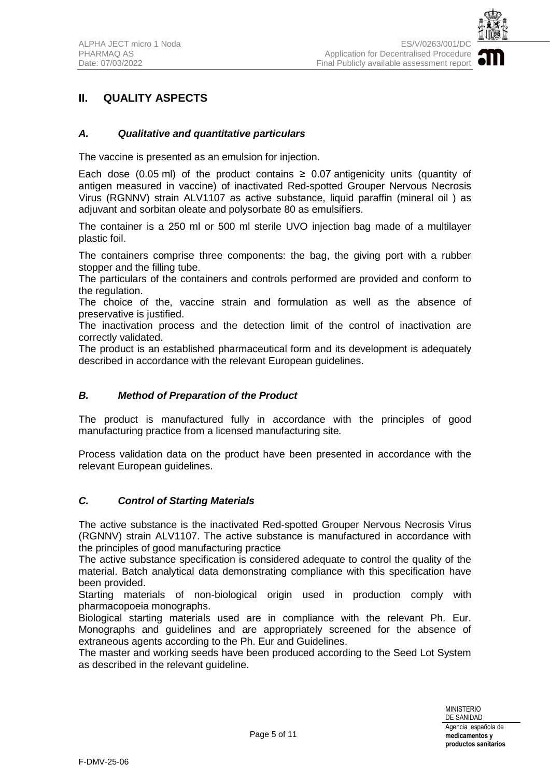

## **II. QUALITY ASPECTS**

#### *A. Qualitative and quantitative particulars*

The vaccine is presented as an emulsion for injection.

Each dose (0.05 ml) of the product contains  $\geq$  0.07 antigenicity units (quantity of antigen measured in vaccine) of inactivated Red-spotted Grouper Nervous Necrosis Virus (RGNNV) strain ALV1107 as active substance, liquid paraffin (mineral oil ) as adjuvant and sorbitan oleate and polysorbate 80 as emulsifiers.

The container is a 250 ml or 500 ml sterile UVO injection bag made of a multilayer plastic foil.

The containers comprise three components: the bag, the giving port with a rubber stopper and the filling tube.

The particulars of the containers and controls performed are provided and conform to the regulation.

The choice of the, vaccine strain and formulation as well as the absence of preservative is justified.

The inactivation process and the detection limit of the control of inactivation are correctly validated.

The product is an established pharmaceutical form and its development is adequately described in accordance with the relevant European guidelines.

#### *B. Method of Preparation of the Product*

The product is manufactured fully in accordance with the principles of good manufacturing practice from a licensed manufacturing site*.*

Process validation data on the product have been presented in accordance with the relevant European guidelines.

#### *C. Control of Starting Materials*

The active substance is the inactivated Red-spotted Grouper Nervous Necrosis Virus (RGNNV) strain ALV1107. The active substance is manufactured in accordance with the principles of good manufacturing practice

The active substance specification is considered adequate to control the quality of the material. Batch analytical data demonstrating compliance with this specification have been provided.

Starting materials of non-biological origin used in production comply with pharmacopoeia monographs.

Biological starting materials used are in compliance with the relevant Ph. Eur. Monographs and guidelines and are appropriately screened for the absence of extraneous agents according to the Ph. Eur and Guidelines.

The master and working seeds have been produced according to the Seed Lot System as described in the relevant guideline.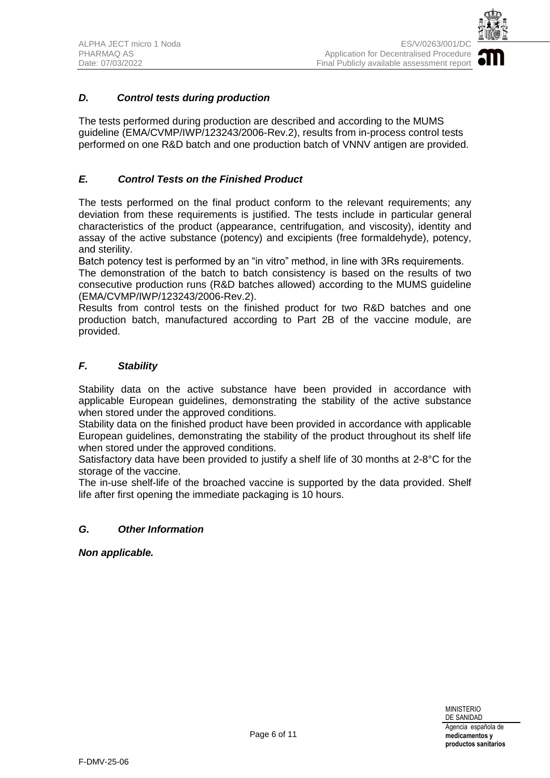

## *D. Control tests during production*

The tests performed during production are described and according to the MUMS guideline (EMA/CVMP/IWP/123243/2006-Rev.2), results from in-process control tests performed on one R&D batch and one production batch of VNNV antigen are provided.

## *E. Control Tests on the Finished Product*

The tests performed on the final product conform to the relevant requirements; any deviation from these requirements is justified. The tests include in particular general characteristics of the product (appearance, centrifugation, and viscosity), identity and assay of the active substance (potency) and excipients (free formaldehyde), potency, and sterility.

Batch potency test is performed by an "in vitro" method, in line with 3Rs requirements.

The demonstration of the batch to batch consistency is based on the results of two consecutive production runs (R&D batches allowed) according to the MUMS guideline (EMA/CVMP/IWP/123243/2006-Rev.2).

Results from control tests on the finished product for two R&D batches and one production batch, manufactured according to Part 2B of the vaccine module, are provided.

### *F. Stability*

Stability data on the active substance have been provided in accordance with applicable European guidelines, demonstrating the stability of the active substance when stored under the approved conditions.

Stability data on the finished product have been provided in accordance with applicable European guidelines, demonstrating the stability of the product throughout its shelf life when stored under the approved conditions.

Satisfactory data have been provided to justify a shelf life of 30 months at 2-8°C for the storage of the vaccine.

The in-use shelf-life of the broached vaccine is supported by the data provided. Shelf life after first opening the immediate packaging is 10 hours.

#### *G. Other Information*

*Non applicable.*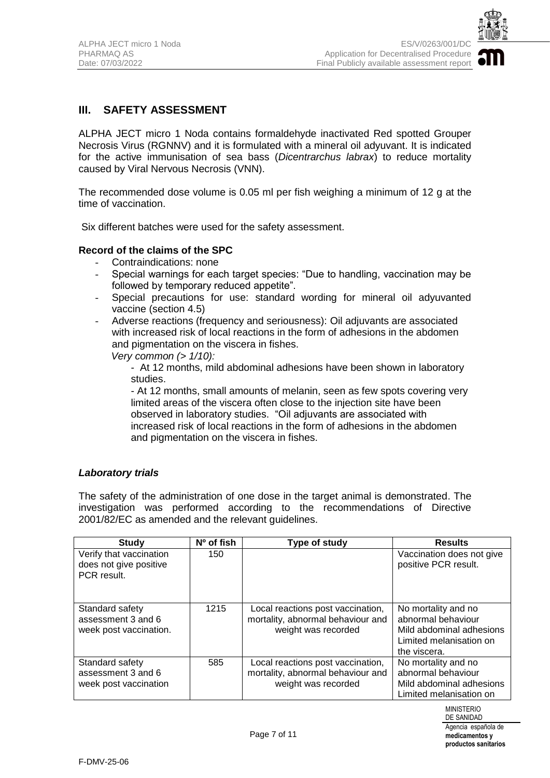

## **III. SAFETY ASSESSMENT**

ALPHA JECT micro 1 Noda contains formaldehyde inactivated Red spotted Grouper Necrosis Virus (RGNNV) and it is formulated with a mineral oil adyuvant. It is indicated for the active immunisation of sea bass (*Dicentrarchus labrax*) to reduce mortality caused by Viral Nervous Necrosis (VNN).

The recommended dose volume is 0.05 ml per fish weighing a minimum of 12 g at the time of vaccination.

Six different batches were used for the safety assessment.

#### **Record of the claims of the SPC**

- Contraindications: none
- Special warnings for each target species: "Due to handling, vaccination may be followed by temporary reduced appetite".
- Special precautions for use: standard wording for mineral oil adyuvanted vaccine (section 4.5)
- Adverse reactions (frequency and seriousness): Oil adjuvants are associated with increased risk of local reactions in the form of adhesions in the abdomen and pigmentation on the viscera in fishes.
	- *Very common (> 1/10):* 
		- At 12 months, mild abdominal adhesions have been shown in laboratory studies.
		- At 12 months, small amounts of melanin, seen as few spots covering very limited areas of the viscera often close to the injection site have been observed in laboratory studies. "Oil adjuvants are associated with increased risk of local reactions in the form of adhesions in the abdomen and pigmentation on the viscera in fishes.

#### *Laboratory trials*

The safety of the administration of one dose in the target animal is demonstrated. The investigation was performed according to the recommendations of Directive 2001/82/EC as amended and the relevant guidelines.

| <b>Study</b>                                                     | Nº of fish | Type of study                                                                                 | <b>Results</b>                                                                                                   |
|------------------------------------------------------------------|------------|-----------------------------------------------------------------------------------------------|------------------------------------------------------------------------------------------------------------------|
| Verify that vaccination<br>does not give positive<br>PCR result. | 150        |                                                                                               | Vaccination does not give<br>positive PCR result.                                                                |
| Standard safety<br>assessment 3 and 6<br>week post vaccination.  | 1215       | Local reactions post vaccination,<br>mortality, abnormal behaviour and<br>weight was recorded | No mortality and no<br>abnormal behaviour<br>Mild abdominal adhesions<br>Limited melanisation on<br>the viscera. |
| Standard safety<br>assessment 3 and 6<br>week post vaccination   | 585        | Local reactions post vaccination,<br>mortality, abnormal behaviour and<br>weight was recorded | No mortality and no<br>abnormal behaviour<br>Mild abdominal adhesions<br>Limited melanisation on                 |

**productos sanitarios**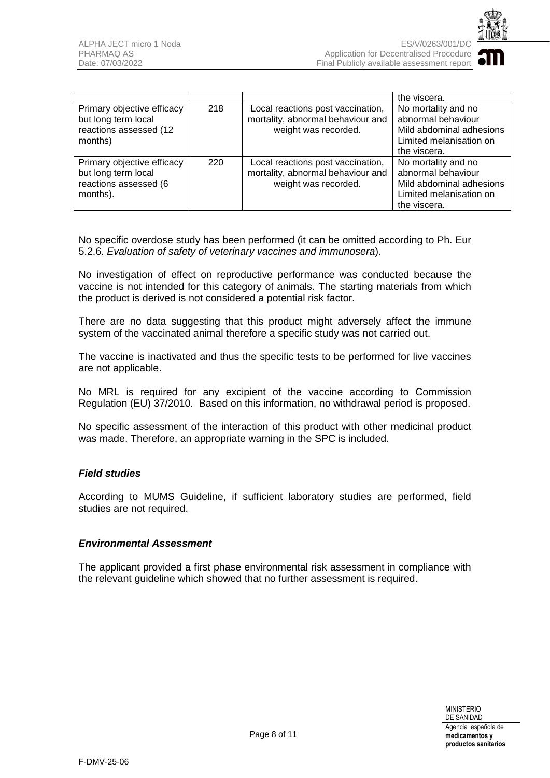

|                                                                                        |     |                                                                                                | the viscera.                                                                                                     |
|----------------------------------------------------------------------------------------|-----|------------------------------------------------------------------------------------------------|------------------------------------------------------------------------------------------------------------------|
| Primary objective efficacy<br>but long term local<br>reactions assessed (12<br>months) | 218 | Local reactions post vaccination,<br>mortality, abnormal behaviour and<br>weight was recorded. | No mortality and no<br>abnormal behaviour<br>Mild abdominal adhesions<br>Limited melanisation on<br>the viscera. |
| Primary objective efficacy<br>but long term local<br>reactions assessed (6<br>months). | 220 | Local reactions post vaccination,<br>mortality, abnormal behaviour and<br>weight was recorded. | No mortality and no<br>abnormal behaviour<br>Mild abdominal adhesions<br>Limited melanisation on<br>the viscera. |

No specific overdose study has been performed (it can be omitted according to Ph. Eur 5.2.6. *Evaluation of safety of veterinary vaccines and immunosera*).

No investigation of effect on reproductive performance was conducted because the vaccine is not intended for this category of animals. The starting materials from which the product is derived is not considered a potential risk factor.

There are no data suggesting that this product might adversely affect the immune system of the vaccinated animal therefore a specific study was not carried out.

The vaccine is inactivated and thus the specific tests to be performed for live vaccines are not applicable.

No MRL is required for any excipient of the vaccine according to Commission Regulation (EU) 37/2010. Based on this information, no withdrawal period is proposed.

No specific assessment of the interaction of this product with other medicinal product was made. Therefore, an appropriate warning in the SPC is included.

#### *Field studies*

According to MUMS Guideline, if sufficient laboratory studies are performed, field studies are not required.

#### *Environmental Assessment*

The applicant provided a first phase environmental risk assessment in compliance with the relevant guideline which showed that no further assessment is required.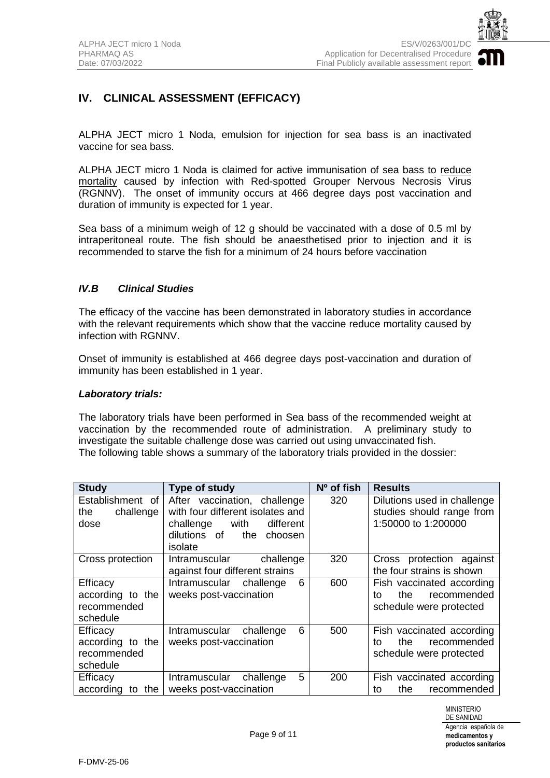

## **IV. CLINICAL ASSESSMENT (EFFICACY)**

ALPHA JECT micro 1 Noda, emulsion for injection for sea bass is an inactivated vaccine for sea bass.

ALPHA JECT micro 1 Noda is claimed for active immunisation of sea bass to reduce mortality caused by infection with Red-spotted Grouper Nervous Necrosis Virus (RGNNV). The onset of immunity occurs at 466 degree days post vaccination and duration of immunity is expected for 1 year.

Sea bass of a minimum weigh of 12 g should be vaccinated with a dose of 0.5 ml by intraperitoneal route. The fish should be anaesthetised prior to injection and it is recommended to starve the fish for a minimum of 24 hours before vaccination

## *IV.B Clinical Studies*

The efficacy of the vaccine has been demonstrated in laboratory studies in accordance with the relevant requirements which show that the vaccine reduce mortality caused by infection with RGNNV.

Onset of immunity is established at 466 degree days post-vaccination and duration of immunity has been established in 1 year.

#### *Laboratory trials:*

The laboratory trials have been performed in Sea bass of the recommended weight at vaccination by the recommended route of administration. A preliminary study to investigate the suitable challenge dose was carried out using unvaccinated fish. The following table shows a summary of the laboratory trials provided in the dossier:

| <b>Study</b>                                            | Type of study                                                                                                                                   | Nº of fish | <b>Results</b>                                                                    |
|---------------------------------------------------------|-------------------------------------------------------------------------------------------------------------------------------------------------|------------|-----------------------------------------------------------------------------------|
| Establishment of<br>challenge<br>the<br>dose            | After vaccination, challenge<br>with four different isolates and<br>with<br>different<br>challenge<br>dilutions of<br>the<br>choosen<br>isolate | 320        | Dilutions used in challenge<br>studies should range from<br>1:50000 to 1:200000   |
| Cross protection                                        | Intramuscular<br>challenge<br>against four different strains                                                                                    | 320        | Cross protection against<br>the four strains is shown                             |
| Efficacy<br>according to the<br>recommended<br>schedule | 6<br>Intramuscular<br>challenge<br>weeks post-vaccination                                                                                       | 600        | Fish vaccinated according<br>recommended<br>the.<br>to<br>schedule were protected |
| Efficacy<br>according to the<br>recommended<br>schedule | 6<br>Intramuscular<br>challenge<br>weeks post-vaccination                                                                                       | 500        | Fish vaccinated according<br>recommended<br>the.<br>to<br>schedule were protected |
| Efficacy<br>according<br>the<br>to                      | 5<br>Intramuscular<br>challenge<br>weeks post-vaccination                                                                                       | 200        | Fish vaccinated according<br>the<br>recommended<br>to                             |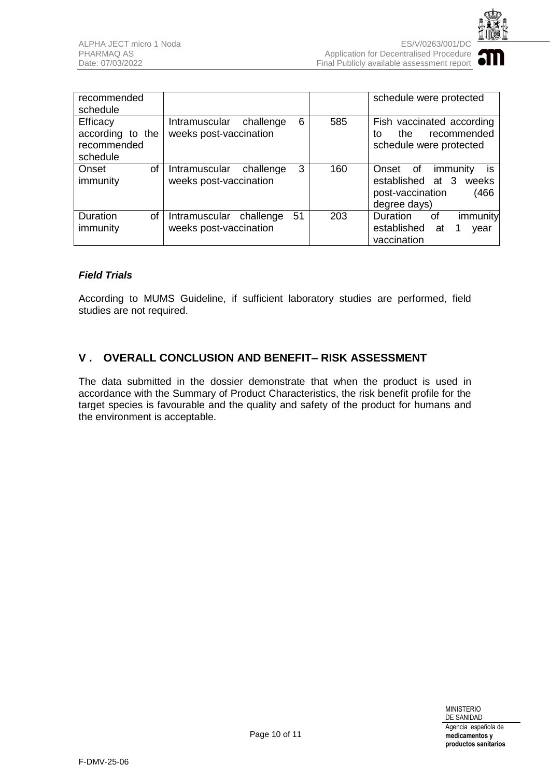

| recommended<br>schedule                                 |                                                                  |     | schedule were protected                                                                                |
|---------------------------------------------------------|------------------------------------------------------------------|-----|--------------------------------------------------------------------------------------------------------|
| Efficacy<br>according to the<br>recommended<br>schedule | 6<br>challenge<br><b>Intramuscular</b><br>weeks post-vaccination | 585 | Fish vaccinated according<br>recommended<br>the<br>tο<br>schedule were protected                       |
| οf<br>Onset<br>immunity                                 | 3<br>Intramuscular<br>challenge<br>weeks post-vaccination        | 160 | is<br>immunity<br>Onset<br>of<br>established at 3<br>weeks<br>post-vaccination<br>(466<br>degree days) |
| of<br>Duration<br>immunity                              | 51<br>Intramuscular<br>challenge<br>weeks post-vaccination       | 203 | Duration<br>immunity<br>0f<br>established<br>at<br>year<br>vaccination                                 |

### *Field Trials*

According to MUMS Guideline, if sufficient laboratory studies are performed, field studies are not required.

## **V . OVERALL CONCLUSION AND BENEFIT– RISK ASSESSMENT**

The data submitted in the dossier demonstrate that when the product is used in accordance with the Summary of Product Characteristics, the risk benefit profile for the target species is favourable and the quality and safety of the product for humans and the environment is acceptable.